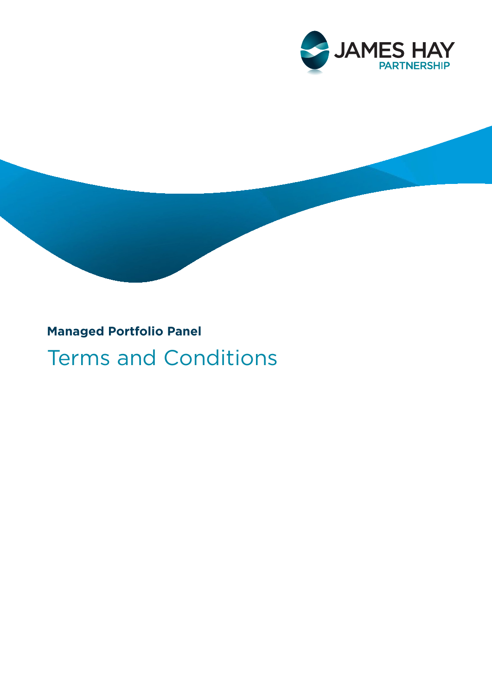

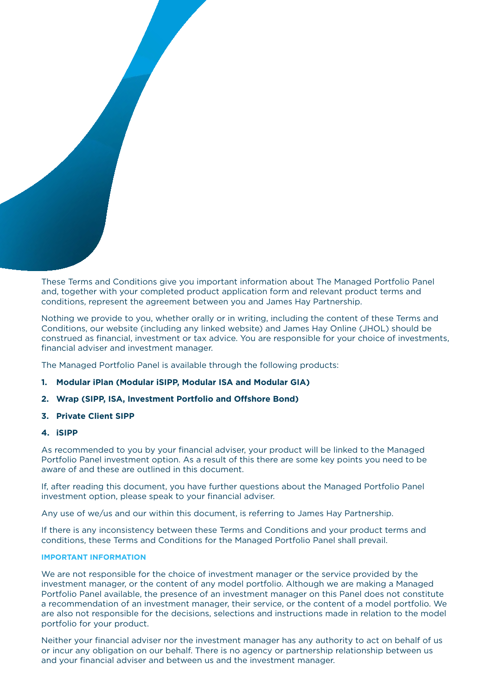These Terms and Conditions give you important information about The Managed Portfolio Panel and, together with your completed product application form and relevant product terms and conditions, represent the agreement between you and James Hay Partnership.

Nothing we provide to you, whether orally or in writing, including the content of these Terms and Conditions, our website (including any linked website) and James Hay Online (JHOL) should be construed as financial, investment or tax advice. You are responsible for your choice of investments, financial adviser and investment manager.

The Managed Portfolio Panel is available through the following products:

- **1. Modular iPlan (Modular iSIPP, Modular ISA and Modular GIA)**
- **2. Wrap (SIPP, ISA, Investment Portfolio and Offshore Bond)**
- **3. Private Client SIPP**
- **4. iSIPP**

As recommended to you by your financial adviser, your product will be linked to the Managed Portfolio Panel investment option. As a result of this there are some key points you need to be aware of and these are outlined in this document.

If, after reading this document, you have further questions about the Managed Portfolio Panel investment option, please speak to your financial adviser.

Any use of we/us and our within this document, is referring to James Hay Partnership.

If there is any inconsistency between these Terms and Conditions and your product terms and conditions, these Terms and Conditions for the Managed Portfolio Panel shall prevail.

# **IMPORTANT INFORMATION**

We are not responsible for the choice of investment manager or the service provided by the investment manager, or the content of any model portfolio. Although we are making a Managed Portfolio Panel available, the presence of an investment manager on this Panel does not constitute a recommendation of an investment manager, their service, or the content of a model portfolio. We are also not responsible for the decisions, selections and instructions made in relation to the model portfolio for your product.

Neither your financial adviser nor the investment manager has any authority to act on behalf of us or incur any obligation on our behalf. There is no agency or partnership relationship between us and your financial adviser and between us and the investment manager.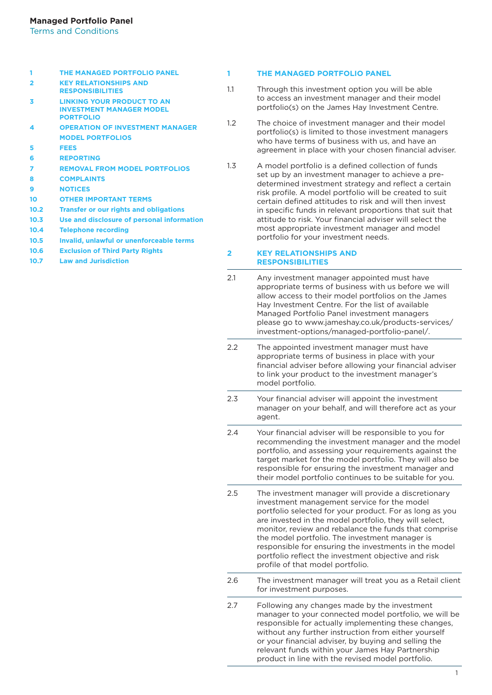| 1              | THE MANAGED PORTFOLIO PANEL                                                              |                  |
|----------------|------------------------------------------------------------------------------------------|------------------|
| $\overline{2}$ | <b>KEY RELATIONSHIPS AND</b><br><b>RESPONSIBILITIES</b>                                  | 1.1              |
| 3              | <b>LINKING YOUR PRODUCT TO AN</b><br><b>INVESTMENT MANAGER MODEL</b><br><b>PORTFOLIO</b> |                  |
| 4              | <b>OPERATION OF INVESTMENT MANAGER</b>                                                   | $1.2\phantom{0}$ |
|                | <b>MODEL PORTFOLIOS</b>                                                                  |                  |
| 5              | <b>FEES</b>                                                                              |                  |
| 6              | <b>REPORTING</b>                                                                         |                  |
| 7              | <b>REMOVAL FROM MODEL PORTFOLIOS</b>                                                     | 1.3              |
| 8              | <b>COMPLAINTS</b>                                                                        |                  |
| 9              | <b>NOTICES</b>                                                                           |                  |
| 10             | <b>OTHER IMPORTANT TERMS</b>                                                             |                  |
| 10.2           | <b>Transfer or our rights and obligations</b>                                            |                  |
| 10.3           | Use and disclosure of personal information                                               |                  |
| 10.4           | <b>Telephone recording</b>                                                               |                  |
| 10.5           | Invalid, unlawful or unenforceable terms                                                 |                  |
| 10.6           | <b>Exclusion of Third Party Rights</b>                                                   | 2                |
|                |                                                                                          |                  |

**10.7 Law and Jurisdiction**

#### **1 THE MANAGED PORTFOLIO PANEL**

- Through this investment option you will be able to access an investment manager and their model portfolio(s) on the James Hay Investment Centre.
- The choice of investment manager and their model portfolio(s) is limited to those investment managers who have terms of business with us, and have an agreement in place with your chosen financial adviser.
- A model portfolio is a defined collection of funds set up by an investment manager to achieve a predetermined investment strategy and reflect a certain risk profile. A model portfolio will be created to suit certain defined attitudes to risk and will then invest in specific funds in relevant proportions that suit that attitude to risk. Your financial adviser will select the most appropriate investment manager and model portfolio for your investment needs.

#### *XEY RELATIONSHIPS AND* **RESPONSIBILITIES**

- 2.1 Any investment manager appointed must have appropriate terms of business with us before we will allow access to their model portfolios on the James Hay Investment Centre. For the list of available Managed Portfolio Panel investment managers please go to [www.jameshay.co.uk/products-services/](http://www.jameshay.co.uk/products-services/investment-options/managed-portfolio-panel/) [investment-options/managed-portfolio-panel/](http://www.jameshay.co.uk/products-services/investment-options/managed-portfolio-panel/).
- 2.2 The appointed investment manager must have appropriate terms of business in place with your financial adviser before allowing your financial adviser to link your product to the investment manager's model portfolio.
- 2.3 Your financial adviser will appoint the investment manager on your behalf, and will therefore act as your agent
- 2.4 Your financial adviser will be responsible to you for recommending the investment manager and the model portfolio, and assessing your requirements against the target market for the model portfolio. They will also be responsible for ensuring the investment manager and their model portfolio continues to be suitable for you.
- 2.5 The investment manager will provide a discretionary investment management service for the model portfolio selected for your product. For as long as you are invested in the model portfolio, they will select, monitor, review and rebalance the funds that comprise the model portfolio. The investment manager is responsible for ensuring the investments in the model portfolio reflect the investment objective and risk profile of that model portfolio.
- 2.6 The investment manager will treat you as a Retail client for investment purposes.
- 2.7 Following any changes made by the investment manager to your connected model portfolio, we will be responsible for actually implementing these changes, without any further instruction from either yourself or your financial adviser, by buying and selling the relevant funds within your James Hay Partnership product in line with the revised model portfolio.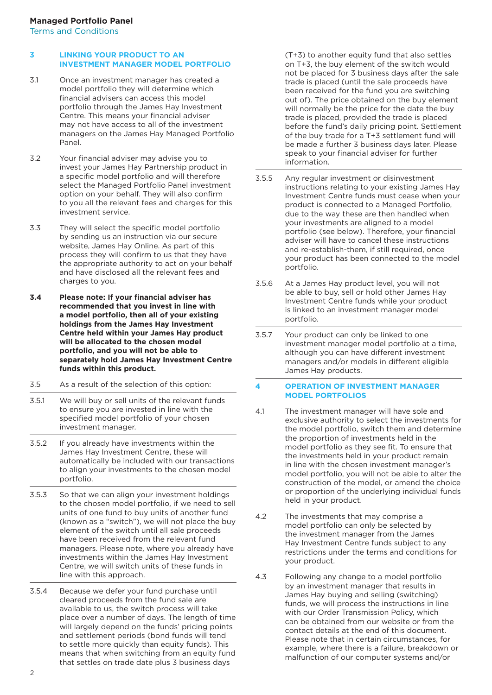#### **3 LINKING YOUR PRODUCT TO AN INVESTMENT MANAGER MODEL PORTFOLIO**

- 3.1 Once an investment manager has created a model portfolio they will determine which financial advisers can access this model portfolio through the James Hay Investment Centre. This means your financial adviser may not have access to all of the investment managers on the James Hay Managed Portfolio Panel.
- 3.2 Your financial adviser may advise you to invest your James Hay Partnership product in a specific model portfolio and will therefore select the Managed Portfolio Panel investment option on your behalf. They will also confirm to you all the relevant fees and charges for this investment service.
- 3.3 They will select the specific model portfolio by sending us an instruction via our secure website, James Hay Online. As part of this process they will confirm to us that they have the appropriate authority to act on your behalf and have disclosed all the relevant fees and charges to you.
- **3.4 Please note: If your financial adviser has recommended that you invest in line with a model portfolio, then all of your existing holdings from the James Hay Investment Centre held within your James Hay product will be allocated to the chosen model portfolio, and you will not be able to separately hold James Hay Investment Centre funds within this product.**
- 3.5 As a result of the selection of this option:
- 3.5.1 We will buy or sell units of the relevant funds to ensure you are invested in line with the specified model portfolio of your chosen investment manager.
- 3.5.2 If you already have investments within the James Hay Investment Centre, these will automatically be included with our transactions to align your investments to the chosen model portfolio.
- 3.5.3 So that we can align your investment holdings to the chosen model portfolio, if we need to sell units of one fund to buy units of another fund (known as a "switch"), we will not place the buy element of the switch until all sale proceeds have been received from the relevant fund managers. Please note, where you already have investments within the James Hay Investment Centre, we will switch units of these funds in line with this approach.
- 3.5.4 Because we defer your fund purchase until cleared proceeds from the fund sale are available to us, the switch process will take place over a number of days. The length of time will largely depend on the funds' pricing points and settlement periods (bond funds will tend to settle more quickly than equity funds). This means that when switching from an equity fund that settles on trade date plus 3 business days

(T+3) to another equity fund that also settles on T+3, the buy element of the switch would not be placed for 3 business days after the sale trade is placed (until the sale proceeds have been received for the fund you are switching out of). The price obtained on the buy element will normally be the price for the date the buy trade is placed, provided the trade is placed before the fund's daily pricing point. Settlement of the buy trade for a T+3 settlement fund will be made a further 3 business days later. Please speak to your financial adviser for further information.

- 3.5.5 Any regular investment or disinvestment instructions relating to your existing James Hay Investment Centre funds must cease when your product is connected to a Managed Portfolio, due to the way these are then handled when your investments are aligned to a model portfolio (see below). Therefore, your financial adviser will have to cancel these instructions and re-establish-them, if still required, once your product has been connected to the model portfolio.
- 3.5.6 At a James Hay product level, you will not be able to buy, sell or hold other James Hay Investment Centre funds while your product is linked to an investment manager model portfolio.
- 3.5.7 Your product can only be linked to one investment manager model portfolio at a time, although you can have different investment managers and/or models in different eligible James Hay products.

#### **4 OPERATION OF INVESTMENT MANAGER MODEL PORTFOLIOS**

- 4.1 The investment manager will have sole and exclusive authority to select the investments for the model portfolio, switch them and determine the proportion of investments held in the model portfolio as they see fit. To ensure that the investments held in your product remain in line with the chosen investment manager's model portfolio, you will not be able to alter the construction of the model, or amend the choice or proportion of the underlying individual funds held in your product.
- 4.2 The investments that may comprise a model portfolio can only be selected by the investment manager from the James Hay Investment Centre funds subject to any restrictions under the terms and conditions for your product.
- 4.3 Following any change to a model portfolio by an investment manager that results in James Hay buying and selling (switching) funds, we will process the instructions in line with our Order Transmission Policy, which can be obtained from our website or from the contact details at the end of this document. Please note that in certain circumstances, for example, where there is a failure, breakdown or malfunction of our computer systems and/or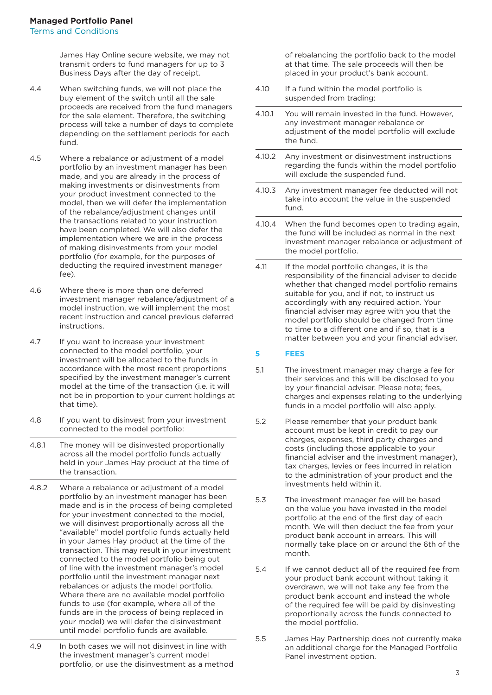James Hay Online secure website, we may not transmit orders to fund managers for up to 3 Business Days after the day of receipt.

- 4.4 When switching funds, we will not place the buy element of the switch until all the sale proceeds are received from the fund managers for the sale element. Therefore, the switching process will take a number of days to complete depending on the settlement periods for each fund.
- 4.5 Where a rebalance or adjustment of a model portfolio by an investment manager has been made, and you are already in the process of making investments or disinvestments from your product investment connected to the model, then we will defer the implementation of the rebalance/adjustment changes until the transactions related to your instruction have been completed. We will also defer the implementation where we are in the process of making disinvestments from your model portfolio (for example, for the purposes of deducting the required investment manager fee).
- 4.6 Where there is more than one deferred investment manager rebalance/adjustment of a model instruction, we will implement the most recent instruction and cancel previous deferred instructions.
- 4.7 If you want to increase your investment connected to the model portfolio, your investment will be allocated to the funds in accordance with the most recent proportions specified by the investment manager's current model at the time of the transaction (i.e. it will not be in proportion to your current holdings at that time).
- 4.8 If you want to disinvest from your investment connected to the model portfolio:
- 4.8.1 The money will be disinvested proportionally across all the model portfolio funds actually held in your James Hay product at the time of the transaction.
- 4.8.2 Where a rebalance or adjustment of a model portfolio by an investment manager has been made and is in the process of being completed for your investment connected to the model, we will disinvest proportionally across all the "available" model portfolio funds actually held in your James Hay product at the time of the transaction. This may result in your investment connected to the model portfolio being out of line with the investment manager's model portfolio until the investment manager next rebalances or adjusts the model portfolio. Where there are no available model portfolio funds to use (for example, where all of the funds are in the process of being replaced in your model) we will defer the disinvestment until model portfolio funds are available.
- 4.9 In both cases we will not disinvest in line with the investment manager's current model portfolio, or use the disinvestment as a method

of rebalancing the portfolio back to the model at that time. The sale proceeds will then be placed in your product's bank account.

- 4.10 If a fund within the model portfolio is suspended from trading:
- 4.10.1 You will remain invested in the fund. However, any investment manager rebalance or adjustment of the model portfolio will exclude the fund.
- 4.10.2 Any investment or disinvestment instructions regarding the funds within the model portfolio will exclude the suspended fund.
- 4.10.3 Any investment manager fee deducted will not take into account the value in the suspended fund.
- 4.10.4 When the fund becomes open to trading again, the fund will be included as normal in the next investment manager rebalance or adjustment of the model portfolio.
- 4.11 If the model portfolio changes, it is the responsibility of the financial adviser to decide whether that changed model portfolio remains suitable for you, and if not, to instruct us accordingly with any required action. Your financial adviser may agree with you that the model portfolio should be changed from time to time to a different one and if so, that is a matter between you and your financial adviser.

# **5 FEES**

- 5.1 The investment manager may charge a fee for their services and this will be disclosed to you by your financial adviser. Please note; fees, charges and expenses relating to the underlying funds in a model portfolio will also apply.
- 5.2 Please remember that your product bank account must be kept in credit to pay our charges, expenses, third party charges and costs (including those applicable to your financial adviser and the investment manager), tax charges, levies or fees incurred in relation to the administration of your product and the investments held within it.
- 5.3 The investment manager fee will be based on the value you have invested in the model portfolio at the end of the first day of each month. We will then deduct the fee from your product bank account in arrears. This will normally take place on or around the 6th of the month.
- 5.4 If we cannot deduct all of the required fee from your product bank account without taking it overdrawn, we will not take any fee from the product bank account and instead the whole of the required fee will be paid by disinvesting proportionally across the funds connected to the model portfolio.
- 5.5 James Hay Partnership does not currently make an additional charge for the Managed Portfolio Panel investment option.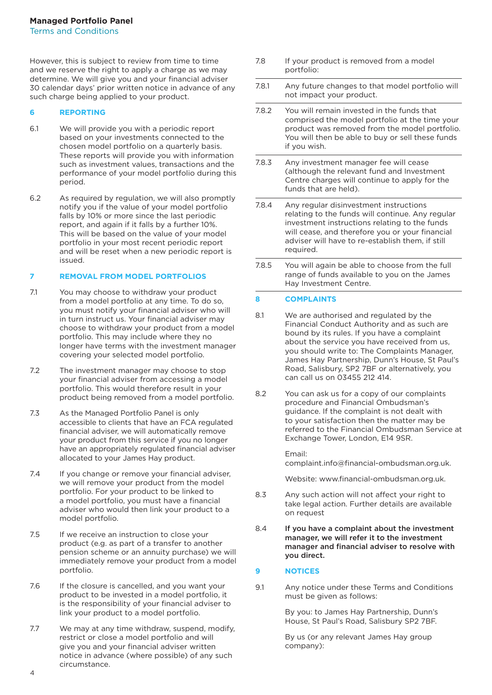However, this is subject to review from time to time and we reserve the right to apply a charge as we may determine. We will give you and your financial adviser 30 calendar days' prior written notice in advance of any such charge being applied to your product.

# **6 REPORTING**

- 6.1 We will provide you with a periodic report based on your investments connected to the chosen model portfolio on a quarterly basis. These reports will provide you with information such as investment values, transactions and the performance of your model portfolio during this period.
- 6.2 As required by regulation, we will also promptly notify you if the value of your model portfolio falls by 10% or more since the last periodic report, and again if it falls by a further 10%. This will be based on the value of your model portfolio in your most recent periodic report and will be reset when a new periodic report is issued.

#### **7 REMOVAL FROM MODEL PORTFOLIOS**

- 7.1 You may choose to withdraw your product from a model portfolio at any time. To do so, you must notify your financial adviser who will in turn instruct us. Your financial adviser may choose to withdraw your product from a model portfolio. This may include where they no longer have terms with the investment manager covering your selected model portfolio.
- 7.2 The investment manager may choose to stop your financial adviser from accessing a model portfolio. This would therefore result in your product being removed from a model portfolio.
- 7.3 As the Managed Portfolio Panel is only accessible to clients that have an FCA regulated financial adviser, we will automatically remove your product from this service if you no longer have an appropriately regulated financial adviser allocated to your James Hay product.
- 7.4 If you change or remove your financial adviser, we will remove your product from the model portfolio. For your product to be linked to a model portfolio, you must have a financial adviser who would then link your product to a model portfolio.
- 7.5 If we receive an instruction to close your product (e.g. as part of a transfer to another pension scheme or an annuity purchase) we will immediately remove your product from a model portfolio.
- 7.6 If the closure is cancelled, and you want your product to be invested in a model portfolio, it is the responsibility of your financial adviser to link your product to a model portfolio.
- 7.7 We may at any time withdraw, suspend, modify, restrict or close a model portfolio and will give you and your financial adviser written notice in advance (where possible) of any such circumstance.
- 7.8 If your product is removed from a model portfolio:
- 7.8.1 Any future changes to that model portfolio will not impact your product.
- 7.8.2 You will remain invested in the funds that comprised the model portfolio at the time your product was removed from the model portfolio. You will then be able to buy or sell these funds if you wish.
- 7.8.3 Any investment manager fee will cease (although the relevant fund and Investment Centre charges will continue to apply for the funds that are held).
- 7.8.4 Any regular disinvestment instructions relating to the funds will continue. Any regular investment instructions relating to the funds will cease, and therefore you or your financial adviser will have to re-establish them, if still required.
- 7.8.5 You will again be able to choose from the full range of funds available to you on the James Hay Investment Centre.

# **8 COMPLAINTS**

- 8.1 We are authorised and regulated by the Financial Conduct Authority and as such are bound by its rules. If you have a complaint about the service you have received from us, you should write to: The Complaints Manager, James Hay Partnership, Dunn's House, St Paul's Road, Salisbury, SP2 7BF or alternatively, you can call us on 03455 212 414.
- 8.2 You can ask us for a copy of our complaints procedure and Financial Ombudsman's guidance. If the complaint is not dealt with to your satisfaction then the matter may be referred to the Financial Ombudsman Service at Exchange Tower, London, E14 9SR.

 Email: complaint.info@financial-ombudsman.org.uk.

Website: www.financial-ombudsman.org.uk.

- 8.3 Any such action will not affect your right to take legal action. Further details are available on request
- 8.4 If you have a complaint about the investment manager, we will refer it to the investment manager and financial adviser to resolve with you direct.

#### **9 NOTICES**

9.1 Any notice under these Terms and Conditions must be given as follows:

> By you: to James Hay Partnership, Dunn's House, St Paul's Road, Salisbury SP2 7BF.

 By us (or any relevant James Hay group company):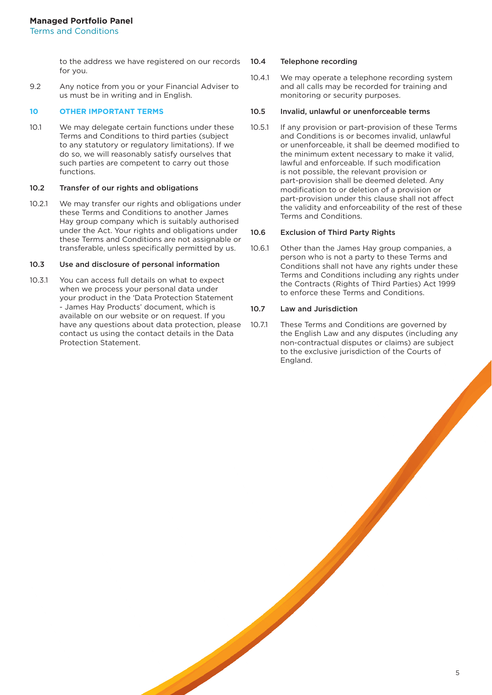to the address we have registered on our records for you.

9.2 Any notice from you or your Financial Adviser to us must be in writing and in English.

# **10 OTHER IMPORTANT TERMS**

10.1 We may delegate certain functions under these Terms and Conditions to third parties (subject to any statutory or regulatory limitations). If we do so, we will reasonably satisfy ourselves that such parties are competent to carry out those functions.

#### 10.2 Transfer of our rights and obligations

10.2.1 We may transfer our rights and obligations under these Terms and Conditions to another James Hay group company which is suitably authorised under the Act. Your rights and obligations under these Terms and Conditions are not assignable or transferable, unless specifically permitted by us.

#### 10.3 Use and disclosure of personal information

10.3.1 You can access full details on what to expect when we process your personal data under your product in the 'Data Protection Statement - James Hay Products' document, which is available on our website or on request. If you have any questions about data protection, please contact us using the contact details in the Data Protection Statement.

#### 10.4 Telephone recording

10.4.1 We may operate a telephone recording system and all calls may be recorded for training and monitoring or security purposes.

#### 10.5 Invalid, unlawful or unenforceable terms

10.5.1 If any provision or part-provision of these Terms and Conditions is or becomes invalid, unlawful or unenforceable, it shall be deemed modified to the minimum extent necessary to make it valid, lawful and enforceable. If such modification is not possible, the relevant provision or part-provision shall be deemed deleted. Any modification to or deletion of a provision or part-provision under this clause shall not affect the validity and enforceability of the rest of these Terms and Conditions.

#### 10.6 Exclusion of Third Party Rights

10.6.1 Other than the James Hay group companies, a person who is not a party to these Terms and Conditions shall not have any rights under these Terms and Conditions including any rights under the Contracts (Rights of Third Parties) Act 1999 to enforce these Terms and Conditions.

#### 10.7 Law and Jurisdiction

10.7.1 These Terms and Conditions are governed by the English Law and any disputes (including any non-contractual disputes or claims) are subject to the exclusive jurisdiction of the Courts of England.